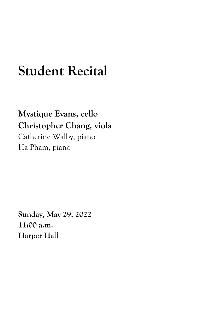## **Student Recital**

**Mystique Evans, cello Christopher Chang, viola** Catherine Walby, piano Ha Pham, piano

**Sunday, May 29, 2022 11:00 a.m. Harper Hall**